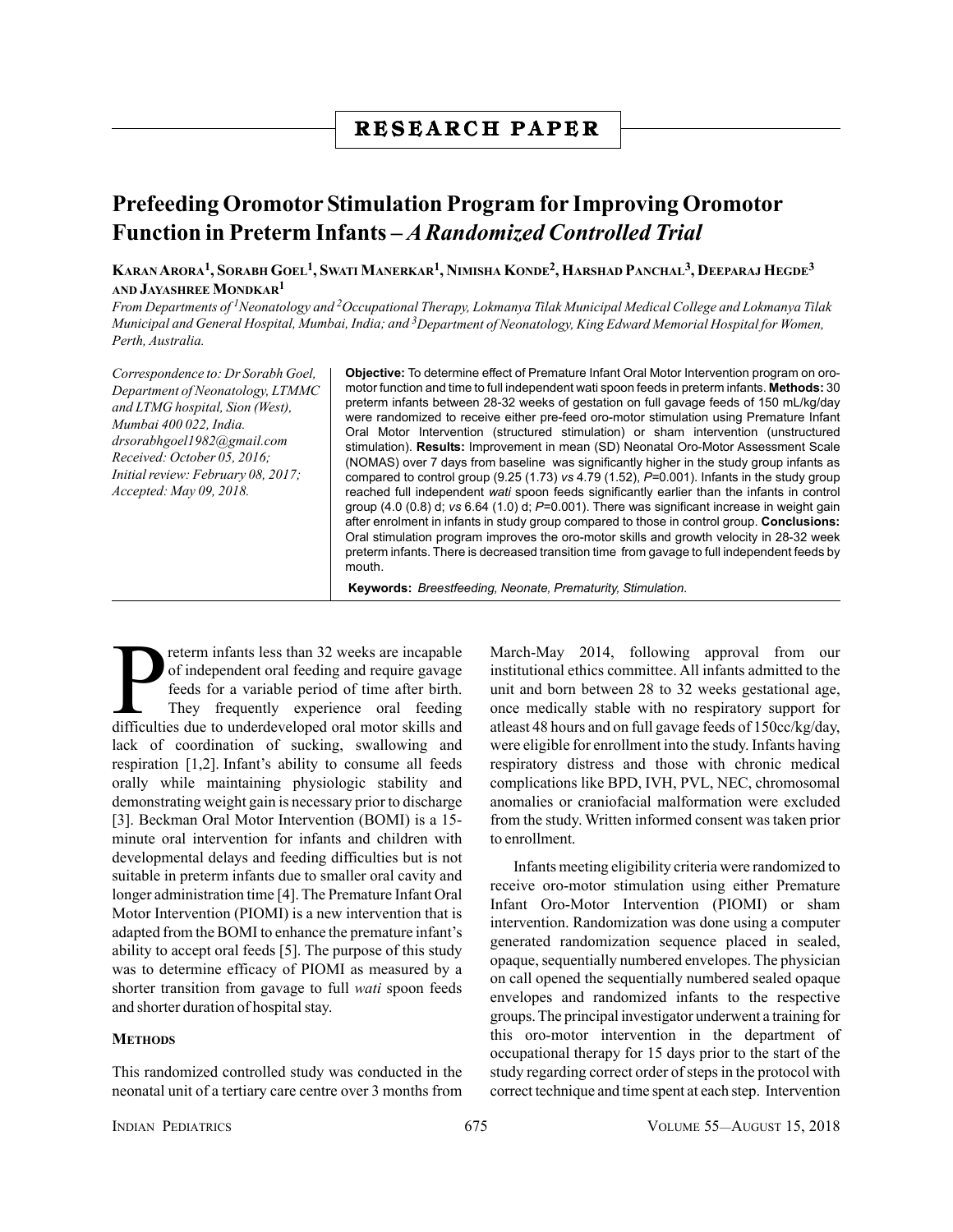## **R E S E A R C H P A P E R**

## **Prefeeding Oromotor Stimulation Program for Improving Oromotor Function in Preterm Infants –** *A Randomized Controlled Trial*

**KARAN ARORA1, SORABH GOEL1, SWATI MANERKAR1, NIMISHA KONDE2, HARSHAD PANCHAL3, DEEPARAJ HEGDE3 AND JAYASHREE MONDKAR1**

*From Departments of 1Neonatology and 2Occupational Therapy, Lokmanya Tilak Municipal Medical College and Lokmanya Tilak Municipal and General Hospital, Mumbai, India; and 3Department of Neonatology, King Edward Memorial Hospital for Women, Perth, Australia.*

*Correspondence to: Dr Sorabh Goel, Department of Neonatology, LTMMC and LTMG hospital, Sion (West), Mumbai 400 022, India. drsorabhgoel1982@gmail.com Received: October 05, 2016; Initial review: February 08, 2017; Accepted: May 09, 2018.*

**Objective:** To determine effect of Premature Infant Oral Motor Intervention program on oromotor function and time to full independent wati spoon feeds in preterm infants. **Methods:** 30 preterm infants between 28-32 weeks of gestation on full gavage feeds of 150 mL/kg/day were randomized to receive either pre-feed oro-motor stimulation using Premature Infant Oral Motor Intervention (structured stimulation) or sham intervention (unstructured stimulation). **Results:** Improvement in mean (SD) Neonatal Oro-Motor Assessment Scale (NOMAS) over 7 days from baseline was significantly higher in the study group infants as compared to control group (9.25 (1.73) *vs* 4.79 (1.52), *P=*0.001). Infants in the study group reached full independent *wati* spoon feeds significantly earlier than the infants in control group (4.0 (0.8) d; *vs* 6.64 (1.0) d; *P*=0.001). There was significant increase in weight gain after enrolment in infants in study group compared to those in control group. **Conclusions:** Oral stimulation program improves the oro-motor skills and growth velocity in 28-32 week preterm infants. There is decreased transition time from gavage to full independent feeds by mouth.

**Keywords:** *Breestfeeding, Neonate, Prematurity, Stimulation*.

The preferm infants less than 32 weeks are incapable<br>of independent oral feeding and require gavage<br>feeds for a variable period of time after birth.<br>They frequently experience oral feeding<br>difficulties due to underdevelope reterm infants less than 32 weeks are incapable of independent oral feeding and require gavage feeds for a variable period of time after birth. They frequently experience oral feeding lack of coordination of sucking, swallowing and respiration [1,2]. Infant's ability to consume all feeds orally while maintaining physiologic stability and demonstrating weight gain is necessary prior to discharge [3]. Beckman Oral Motor Intervention (BOMI) is a 15 minute oral intervention for infants and children with developmental delays and feeding difficulties but is not suitable in preterm infants due to smaller oral cavity and longer administration time [4]. The Premature Infant Oral Motor Intervention (PIOMI) is a new intervention that is adapted from the BOMI to enhance the premature infant's ability to accept oral feeds [5]. The purpose of this study was to determine efficacy of PIOMI as measured by a shorter transition from gavage to full *wati* spoon feeds and shorter duration of hospital stay.

## **METHODS**

This randomized controlled study was conducted in the neonatal unit of a tertiary care centre over 3 months from March-May 2014, following approval from our institutional ethics committee. All infants admitted to the unit and born between 28 to 32 weeks gestational age, once medically stable with no respiratory support for atleast 48 hours and on full gavage feeds of 150cc/kg/day, were eligible for enrollment into the study. Infants having respiratory distress and those with chronic medical complications like BPD, IVH, PVL, NEC, chromosomal anomalies or craniofacial malformation were excluded from the study. Written informed consent was taken prior to enrollment.

Infants meeting eligibility criteria were randomized to receive oro-motor stimulation using either Premature Infant Oro-Motor Intervention (PIOMI) or sham intervention. Randomization was done using a computer generated randomization sequence placed in sealed, opaque, sequentially numbered envelopes. The physician on call opened the sequentially numbered sealed opaque envelopes and randomized infants to the respective groups. The principal investigator underwent a training for this oro-motor intervention in the department of occupational therapy for 15 days prior to the start of the study regarding correct order of steps in the protocol with correct technique and time spent at each step. Intervention